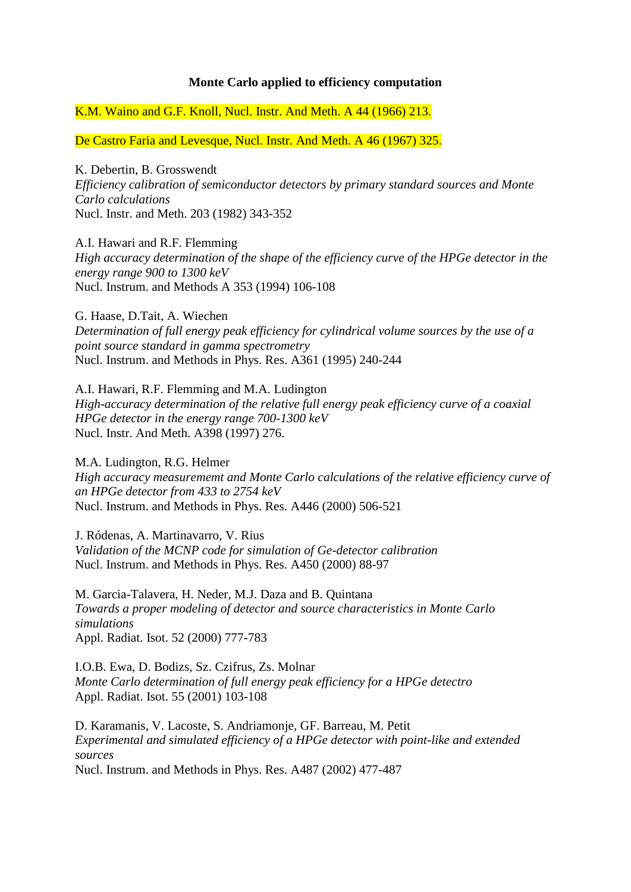## **Monte Carlo applied to efficiency computation**

K.M. Waino and G.F. Knoll, Nucl. Instr. And Meth. A 44 (1966) 213.

De Castro Faria and Levesque, Nucl. Instr. And Meth. A 46 (1967) 325.

K. Debertin, B. Grosswendt *Efficiency calibration of semiconductor detectors by primary standard sources and Monte Carlo calculations* Nucl. Instr. and Meth. 203 (1982) 343-352

A.I. Hawari and R.F. Flemming *High accuracy determination of the shape of the efficiency curve of the HPGe detector in the energy range 900 to 1300 keV* Nucl. Instrum. and Methods A 353 (1994) 106-108

G. Haase, D.Tait, A. Wiechen *Determination of full energy peak efficiency for cylindrical volume sources by the use of a point source standard in gamma spectrometry* Nucl. Instrum. and Methods in Phys. Res. A361 (1995) 240-244

A.I. Hawari, R.F. Flemming and M.A. Ludington *High-accuracy determination of the relative full energy peak efficiency curve of a coaxial HPGe detector in the energy range 700-1300 keV* Nucl. Instr. And Meth. A398 (1997) 276.

M.A. Ludington, R.G. Helmer *High accuracy measurememt and Monte Carlo calculations of the relative efficiency curve of an HPGe detector from 433 to 2754 keV* Nucl. Instrum. and Methods in Phys. Res. A446 (2000) 506-521

J. Ródenas, A. Martinavarro, V. Rius *Validation of the MCNP code for simulation of Ge-detector calibration* Nucl. Instrum. and Methods in Phys. Res. A450 (2000) 88-97

M. Garcia-Talavera, H. Neder, M.J. Daza and B. Quintana *Towards a proper modeling of detector and source characteristics in Monte Carlo simulations* Appl. Radiat. Isot. 52 (2000) 777-783

I.O.B. Ewa, D. Bodizs, Sz. Czifrus, Zs. Molnar *Monte Carlo determination of full energy peak efficiency for a HPGe detectro* Appl. Radiat. Isot. 55 (2001) 103-108

D. Karamanis, V. Lacoste, S. Andriamonje, GF. Barreau, M. Petit *Experimental and simulated efficiency of a HPGe detector with point-like and extended sources*

Nucl. Instrum. and Methods in Phys. Res. A487 (2002) 477-487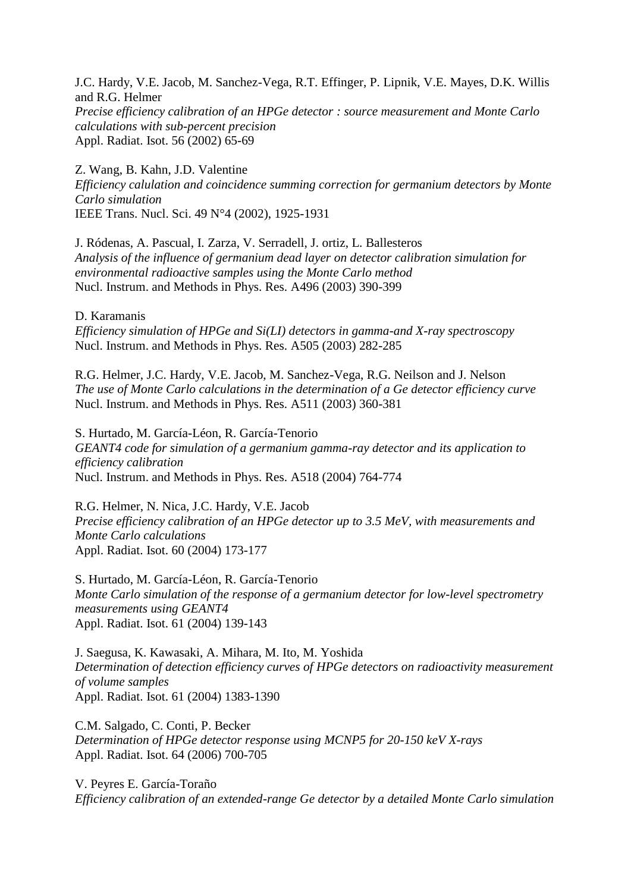J.C. Hardy, V.E. Jacob, M. Sanchez-Vega, R.T. Effinger, P. Lipnik, V.E. Mayes, D.K. Willis and R.G. Helmer *Precise efficiency calibration of an HPGe detector : source measurement and Monte Carlo calculations with sub-percent precision* Appl. Radiat. Isot. 56 (2002) 65-69

Z. Wang, B. Kahn, J.D. Valentine *Efficiency calulation and coincidence summing correction for germanium detectors by Monte Carlo simulation* IEEE Trans. Nucl. Sci. 49 N°4 (2002), 1925-1931

J. Ródenas, A. Pascual, I. Zarza, V. Serradell, J. ortiz, L. Ballesteros *Analysis of the influence of germanium dead layer on detector calibration simulation for environmental radioactive samples using the Monte Carlo method* Nucl. Instrum. and Methods in Phys. Res. A496 (2003) 390-399

D. Karamanis

*Efficiency simulation of HPGe and Si(LI) detectors in gamma-and X-ray spectroscopy* Nucl. Instrum. and Methods in Phys. Res. A505 (2003) 282-285

R.G. Helmer, J.C. Hardy, V.E. Jacob, M. Sanchez-Vega, R.G. Neilson and J. Nelson *The use of Monte Carlo calculations in the determination of a Ge detector efficiency curve* Nucl. Instrum. and Methods in Phys. Res. A511 (2003) 360-381

S. Hurtado, M. García-Léon, R. García-Tenorio *GEANT4 code for simulation of a germanium gamma-ray detector and its application to efficiency calibration* Nucl. Instrum. and Methods in Phys. Res. A518 (2004) 764-774

R.G. Helmer, N. Nica, J.C. Hardy, V.E. Jacob *Precise efficiency calibration of an HPGe detector up to 3.5 MeV, with measurements and Monte Carlo calculations* Appl. Radiat. Isot. 60 (2004) 173-177

S. Hurtado, M. García-Léon, R. García-Tenorio *Monte Carlo simulation of the response of a germanium detector for low-level spectrometry measurements using GEANT4* Appl. Radiat. Isot. 61 (2004) 139-143

J. Saegusa, K. Kawasaki, A. Mihara, M. Ito, M. Yoshida *Determination of detection efficiency curves of HPGe detectors on radioactivity measurement of volume samples* Appl. Radiat. Isot. 61 (2004) 1383-1390

C.M. Salgado, C. Conti, P. Becker *Determination of HPGe detector response using MCNP5 for 20-150 keV X-rays* Appl. Radiat. Isot. 64 (2006) 700-705

V. Peyres E. García-Toraño *Efficiency calibration of an extended-range Ge detector by a detailed Monte Carlo simulation*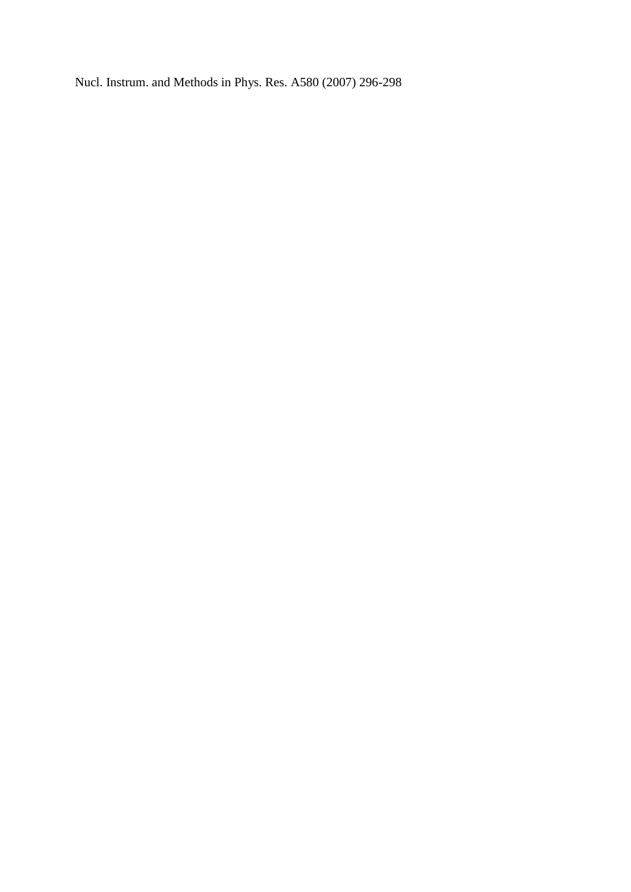Nucl. Instrum. and Methods in Phys. Res. A580 (2007) 296-298